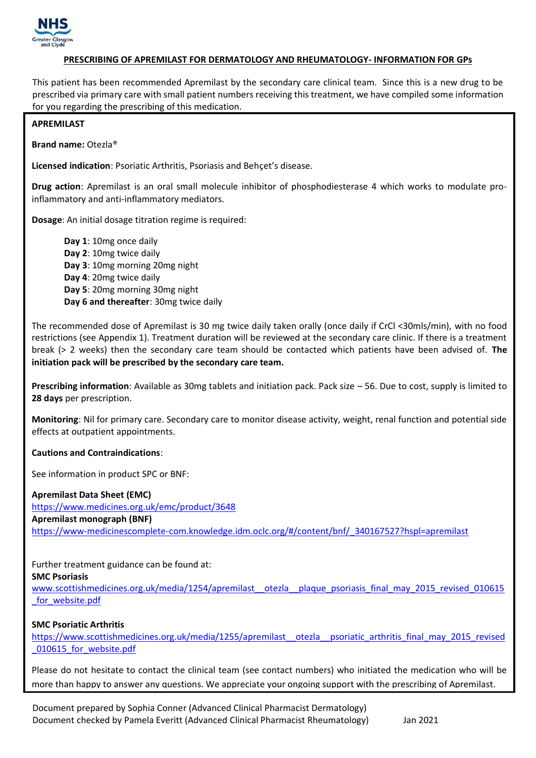

# **PRESCRIBING OF APREMILAST FOR DERMATOLOGY AND RHEUMATOLOGY- INFORMATION FOR GPs**

This patient has been recommended Apremilast by the secondary care clinical team. Since this is a new drug to be prescribed via primary care with small patient numbers receiving this treatment, we have compiled some information for you regarding the prescribing of this medication.

### **APREMILAST**

**Brand name:** Otezla®

**Licensed indication**: Psoriatic Arthritis, Psoriasis and Behçet's disease.

**Drug action**: Apremilast is an oral small molecule inhibitor of phosphodiesterase 4 which works to modulate proinflammatory and anti-inflammatory mediators.

**Dosage**: An initial dosage titration regime is required:

**Day 1**: 10mg once daily **Day 2**: 10mg twice daily **Day 3**: 10mg morning 20mg night **Day 4**: 20mg twice daily **Day 5**: 20mg morning 30mg night **Day 6 and thereafter**: 30mg twice daily

The recommended dose of Apremilast is 30 mg twice daily taken orally (once daily if CrCl <30mls/min), with no food restrictions (see Appendix 1). Treatment duration will be reviewed at the secondary care clinic. If there is a treatment break (> 2 weeks) then the secondary care team should be contacted which patients have been advised of. **The initiation pack will be prescribed by the secondary care team.** 

**Prescribing information**: Available as 30mg tablets and initiation pack. Pack size – 56. Due to cost, supply is limited to **28 days** per prescription.

**Monitoring**: Nil for primary care. Secondary care to monitor disease activity, weight, renal function and potential side effects at outpatient appointments.

### **Cautions and Contraindications**:

See information in product SPC or BNF:

**Apremilast Data Sheet (EMC)** <https://www.medicines.org.uk/emc/product/3648> **Apremilast monograph (BNF)** https://www-medicinescomplete-com.knowledge.idm.oclc.org/#/content/bnf/\_340167527?hspl=apremilast

Further treatment guidance can be found at: **SMC Psoriasis**

www.scottishmedicines.org.uk/media/1254/apremilast otezla plaque psoriasis final may 2015 revised 010615 [\\_for\\_website.pdf](http://www.scottishmedicines.org.uk/media/1254/apremilast__otezla__plaque_psoriasis_final_may_2015_revised_010615_for_website.pdf)

### **SMC Psoriatic Arthritis**

[https://www.scottishmedicines.org.uk/media/1255/apremilast\\_\\_otezla\\_\\_psoriatic\\_arthritis\\_final\\_may\\_2015\\_revised](https://www.scottishmedicines.org.uk/media/1255/apremilast__otezla__psoriatic_arthritis_final_may_2015_revised_010615_for_website.pdf) 010615 for website.pdf

Please do not hesitate to contact the clinical team (see contact numbers) who initiated the medication who will be more than happy to answer any questions. We appreciate your ongoing support with the prescribing of Apremilast.